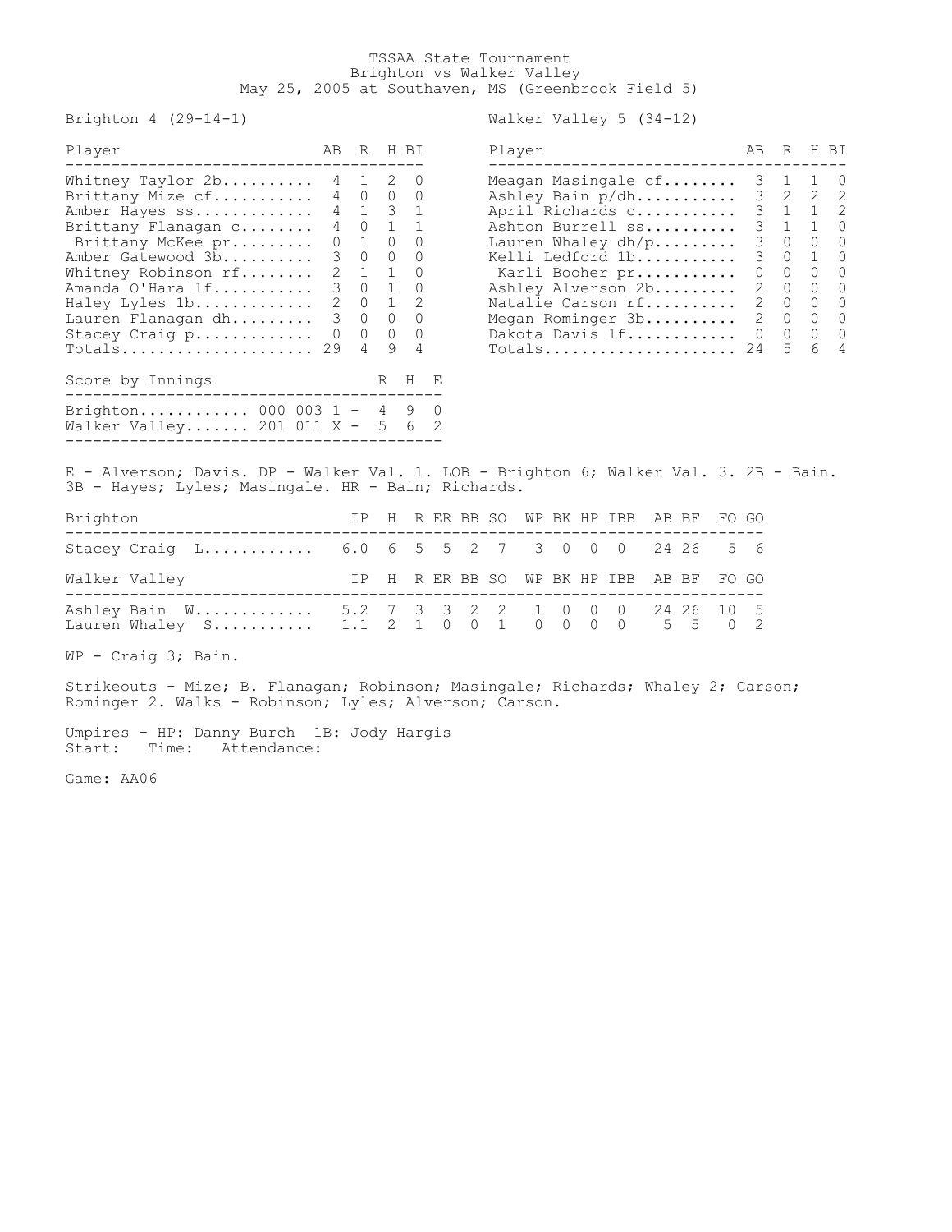## TSSAA State Tournament Brighton vs Walker Valley May 25, 2005 at Southaven, MS (Greenbrook Field 5)

Brighton 4 (29-14-1) Walker Valley 5 (34-12)

| Player                                                                                                                                                                                                                                                                         |          |                | AB R H BI             |                                                                                         | Player                                                                                                                                                                                                                                                  | AB | R                                           | H BI                                                                                                                                                   |                                                                     |
|--------------------------------------------------------------------------------------------------------------------------------------------------------------------------------------------------------------------------------------------------------------------------------|----------|----------------|-----------------------|-----------------------------------------------------------------------------------------|---------------------------------------------------------------------------------------------------------------------------------------------------------------------------------------------------------------------------------------------------------|----|---------------------------------------------|--------------------------------------------------------------------------------------------------------------------------------------------------------|---------------------------------------------------------------------|
| Whitney Taylor 2b 4 1 2 0<br>Brittany Mize cf 4 0 0 0<br>Amber Hayes ss<br>Brittany Flanagan c<br>Brittany McKee pr<br>Amber Gatewood 3b<br>Whitney Robinson rf<br>Amanda O'Hara 1f 3 0 1 0<br>Haley Lyles 1b 2 0 1 2<br>Lauren Flanagan dh<br>Stacey Craig p 0<br>$Totals$ 29 | $\Omega$ | $\overline{4}$ | 1 0 0<br>3 0 0 0<br>9 | 4 1 3 1<br>4 0 1 1<br>$2 \t1 \t1 \t0$<br>3 0 0 0<br>$0\quad 0\quad 0$<br>$\overline{4}$ | Meagan Masingale cf<br>Ashley Bain p/dh<br>April Richards c<br>Ashton Burrell ss<br>Lauren Whaley $dh/p$<br>Kelli Ledford 1b<br>Karli Booher pr<br>Ashley Alverson 2b<br>Natalie Carson rf 2 0 0<br>Megan Rominger 3b<br>Dakota Davis lf<br>$Totals$ 24 |    | $0 \quad 0 \quad 0$<br>2 0 0<br>2 0 0<br>.5 | 3 1 1 0<br>$3 \quad 2 \quad 2 \quad 2$<br>$3 \t1 \t1 \t2$<br>$3 \t1 \t1 \t0$<br>3 0 0 0<br>3 0 1 0<br>$\begin{matrix} 0 & 0 & 0 & 0 \end{matrix}$<br>6 | $\bigcirc$<br>$\overline{0}$<br>$\overline{0}$<br>$\bigcirc$<br>- 4 |
| Score by Innings<br>Brighton 000 003 1 - 4 9 0<br>Walker Valley 201 011 X -                                                                                                                                                                                                    |          |                | R                     | $H$ $E$<br>5 6 2                                                                        |                                                                                                                                                                                                                                                         |    |                                             |                                                                                                                                                        |                                                                     |

| Player                                                            | AB            |              | R H BI       |          |
|-------------------------------------------------------------------|---------------|--------------|--------------|----------|
| Meagan Masingale $cf. \ldots \ldots$                              | 3             | 1            | 1            | 0        |
| Ashley Bain p/dh                                                  | 3             | $\mathbf{2}$ | 2            | 2        |
| April Richards c                                                  | 3             | $\mathbf{1}$ | $\mathbf{1}$ | 2        |
| Ashton Burrell ss                                                 | 3             | 1            | $\mathbf{1}$ | $\Omega$ |
| Lauren Whaley $dh/p$                                              | 3             | 0            | 0            | 0        |
| Kelli Ledford 1b                                                  | 3             | 0            | 1            | $\Omega$ |
| Karli Booher pr                                                   | 0             | 0            | $\Omega$     | $\Omega$ |
| Ashley Alverson 2b                                                | 2             | 0            | 0            | 0        |
| Natalie Carson rf                                                 | 2             | 0            | $\Omega$     | $\Omega$ |
| Megan Rominger 3b                                                 | $\mathcal{L}$ | 0            | $\Omega$     | $\Omega$ |
| Dakota Davis lf                                                   | 0             | 0            | 0            | 0        |
| $\texttt{Totals} \dots \dots \dots \dots \dots \dots \dots \dots$ | 24            | 5            | 6            | 4        |

E - Alverson; Davis. DP - Walker Val. 1. LOB - Brighton 6; Walker Val. 3. 2B - Bain. 3B - Hayes; Lyles; Masingale. HR - Bain; Richards.

| Brighton                                                                                          |  |  |  |  | IP H R ER BB SO WP BK HP IBB AB BF FO GO |  |  |
|---------------------------------------------------------------------------------------------------|--|--|--|--|------------------------------------------|--|--|
| Stacey Craig L 6.0 6 5 5 2 7 3 0 0 0 24 26 5 6                                                    |  |  |  |  |                                          |  |  |
| Walker Valley                                                                                     |  |  |  |  | IP H R ER BB SO WP BK HP IBB AB BF FO GO |  |  |
| Ashley Bain W 5.2 7 3 3 2 2 1 0 0 0 24 26 10 5<br>Lauren Whaley S 1.1 2 1 0 0 1 0 0 0 0 0 5 5 0 2 |  |  |  |  |                                          |  |  |

WP - Craig 3; Bain.

Strikeouts - Mize; B. Flanagan; Robinson; Masingale; Richards; Whaley 2; Carson; Rominger 2. Walks - Robinson; Lyles; Alverson; Carson.

Umpires - HP: Danny Burch 1B: Jody Hargis Start: Time: Attendance:

Game: AA06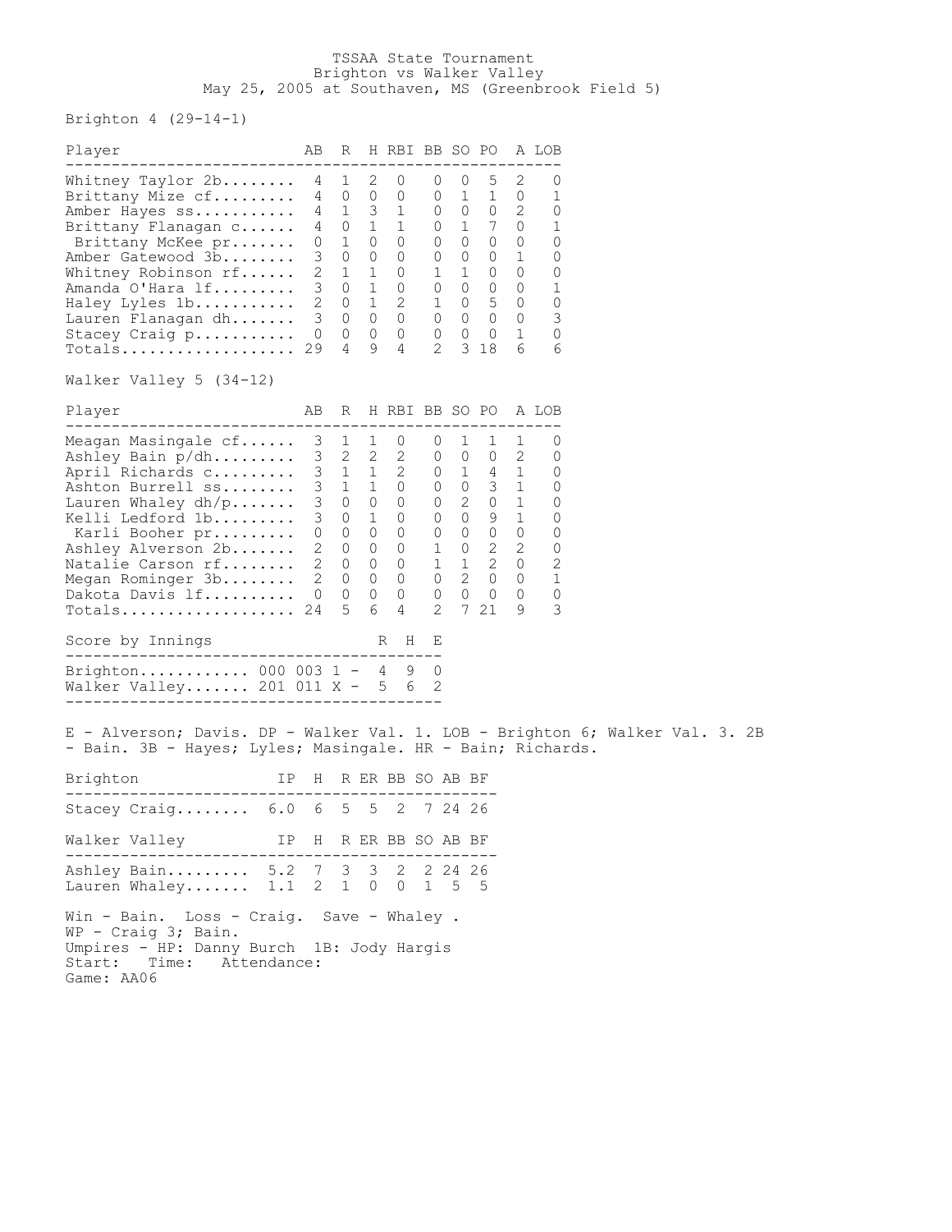## TSSAA State Tournament Brighton vs Walker Valley May 25, 2005 at Southaven, MS (Greenbrook Field 5)

## Brighton 4 (29-14-1)

| Player                                                                                                                                                                                                                                                                                          | AВ                             | R                                                                                     |                                                                                  | H RBI BB SO PO A LOB                                                                                                                                                                                                                  |                                                        |                   |                                                                                                                                                                          |                          |                                                                     |  |  |
|-------------------------------------------------------------------------------------------------------------------------------------------------------------------------------------------------------------------------------------------------------------------------------------------------|--------------------------------|---------------------------------------------------------------------------------------|----------------------------------------------------------------------------------|---------------------------------------------------------------------------------------------------------------------------------------------------------------------------------------------------------------------------------------|--------------------------------------------------------|-------------------|--------------------------------------------------------------------------------------------------------------------------------------------------------------------------|--------------------------|---------------------------------------------------------------------|--|--|
| Whitney Taylor 2b<br>Brittany Mize cf<br>Amber Hayes ss<br>Brittany Flanagan c<br>Brittany McKee pr<br>Amber Gatewood 3b<br>Whitney Robinson rf<br>Amanda O'Hara lf<br>Haley Lyles 1b<br>Lauren Flanagan dh<br>Stacey Craig p<br>$Totals$<br>Walker Valley 5 (34-12)                            | 4<br>4<br>4<br>0<br>3<br>29    | 1<br>0<br>4 1<br>0 1<br>$\mathbf{1}$<br>$\circ$<br>$2 \t1 \t1$<br>$3 \t 0 \t 1$<br>4  | 2<br>$\circ$<br>$\overline{\mathbf{3}}$<br>$\overline{0}$<br>$\overline{0}$<br>9 | 0<br>0<br>$\overline{1}$<br>1<br>$\Omega$<br>$\circ$<br>0<br>$\circ$<br>$\begin{array}{cccccccc} 2 & 0 & 1 & 2 & 1 & 0 & 5 & 0 \\ 3 & 0 & 0 & 0 & 0 & 0 & 0 & 0 \\ 0 & 0 & 0 & 0 & 0 & 0 & 0 & 1 \end{array}$<br>4                    | 0<br>0<br>$\circ$<br>$\circ$<br>$\circ$<br>0<br>1<br>2 | 0<br>$\mathbf{1}$ | 5<br>$\mathbf{1}$<br>$0 \t 0 \t 2$<br>$1 \quad 7 \quad 0$<br>$\begin{matrix} 0 & 0 & 0 \end{matrix}$<br>$0 \quad 0 \quad 1$<br>1 0 0<br>$0\quad 0\quad 0\quad 0$<br>3 18 | 2<br>$\overline{0}$<br>6 | 0<br>1<br>0<br>1<br>0<br>0<br>0<br>1<br>0<br>3<br>0<br>6            |  |  |
| Player                                                                                                                                                                                                                                                                                          | AB                             | R                                                                                     |                                                                                  | H RBI BB SO PO A LOB                                                                                                                                                                                                                  |                                                        |                   |                                                                                                                                                                          |                          |                                                                     |  |  |
| Meagan Masingale cf<br>Ashley Bain p/dh<br>April Richards c<br>Ashton Burrell ss<br>Lauren Whaley $dh/p$<br>Kelli Ledford 1b<br>Karli Booher pr<br>Ashley Alverson 2b<br>Natalie Carson rf<br>Megan Rominger 3b<br>Dakota Davis lf<br>Totals 24<br>Score by Innings<br>Brighton 000 003 1 - 4 9 | 3<br>$2^{\circ}$<br>2<br>2 0 0 | 1<br>$3 \quad 0 \quad 1$<br>$0\quad 0\quad 0$<br>$0\quad 0$<br>$0\quad 0\quad 0$<br>5 | 1<br>6                                                                           | 0<br>3 2 2 2 0 0 0 2<br>3 1 1 2 0 1 4 1<br>3 1 1 0 0 0 3 1<br>3 0 0 0 0 2 0 1<br>0<br>$\begin{array}{cccccccc} 0 & 0 & 0 & 0 & 0 & 0 & 0 \\ 0 & 0 & 0 & 1 & 0 & 2 & 2 \\ \end{array}$<br>$\circ$<br>$\circ$<br>$\circ$<br>4<br>H<br>R | 0<br>0<br>$\frac{1}{2}$<br>2<br>Е<br>0                 | 1                 | 1<br>$0 \t 9 \t 1$<br>$1 \quad 2 \quad 0$<br>$0 2 0 0$<br>$0\qquad 0\qquad 0\qquad 0$<br>721                                                                             | 1<br>9                   | 0<br>0<br>0<br>0<br>0<br>0<br>0<br>0<br>2<br>$\mathbf{1}$<br>0<br>3 |  |  |
| Walker Valley 201 011 $X - 5$ 6                                                                                                                                                                                                                                                                 |                                |                                                                                       |                                                                                  |                                                                                                                                                                                                                                       | 2                                                      |                   |                                                                                                                                                                          |                          |                                                                     |  |  |
| E - Alverson; Davis. DP - Walker Val. 1. LOB - Brighton 6; Walker Val. 3. 2B<br>- Bain. 3B - Hayes; Lyles; Masingale. HR - Bain; Richards.<br>Brighton<br>IP                                                                                                                                    |                                |                                                                                       |                                                                                  | H R ER BB SO AB BF                                                                                                                                                                                                                    |                                                        |                   |                                                                                                                                                                          |                          |                                                                     |  |  |
| Stacey Craig 6.0 6                                                                                                                                                                                                                                                                              |                                | 5 <sub>5</sub>                                                                        |                                                                                  | 2                                                                                                                                                                                                                                     |                                                        | 7 24 26           |                                                                                                                                                                          |                          |                                                                     |  |  |
| Walker Valley<br>IΡ                                                                                                                                                                                                                                                                             | H                              |                                                                                       |                                                                                  | R ER BB SO AB BF                                                                                                                                                                                                                      |                                                        |                   |                                                                                                                                                                          |                          |                                                                     |  |  |
| Ashley Bain<br>5.2<br>Lauren Whaley<br>1.1                                                                                                                                                                                                                                                      | 7<br>2                         | 3<br>$\mathbf 1$                                                                      | $\mathsf 3$<br>$\mathbf{0}$                                                      | 2<br>0                                                                                                                                                                                                                                | 1                                                      | 2 24 26<br>5      | 5                                                                                                                                                                        |                          |                                                                     |  |  |
| Win - Bain. Loss - Craig.<br>WP - Craig 3; Bain.<br>Umpires - HP: Danny Burch<br>Time:<br>Start:<br>Attendance:                                                                                                                                                                                 |                                |                                                                                       |                                                                                  | Save - Whaley.<br>1B: Jody Hargis                                                                                                                                                                                                     |                                                        |                   |                                                                                                                                                                          |                          |                                                                     |  |  |

Game: AA06